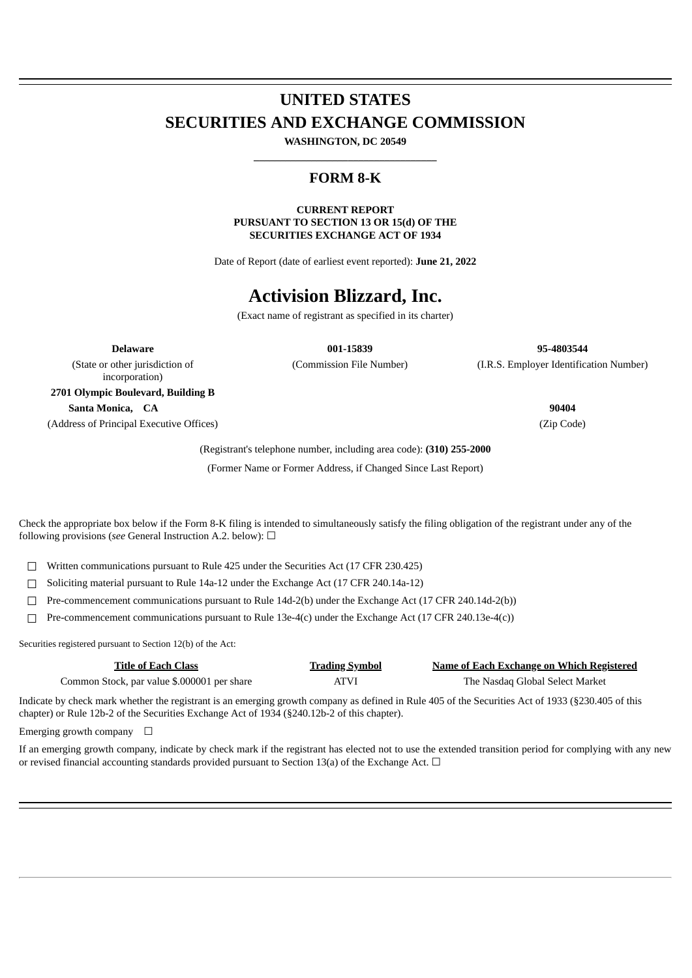# **UNITED STATES SECURITIES AND EXCHANGE COMMISSION**

**WASHINGTON, DC 20549 \_\_\_\_\_\_\_\_\_\_\_\_\_\_\_\_\_\_\_\_\_\_\_\_\_\_\_\_\_\_\_\_\_\_\_**

## **FORM 8-K**

**CURRENT REPORT PURSUANT TO SECTION 13 OR 15(d) OF THE SECURITIES EXCHANGE ACT OF 1934**

Date of Report (date of earliest event reported): **June 21, 2022**

## **Activision Blizzard, Inc.**

(Exact name of registrant as specified in its charter)

(State or other jurisdiction of

**Delaware 001-15839 95-4803544** (Commission File Number) (I.R.S. Employer Identification Number)

incorporation) **2701 Olympic Boulevard, Building B Santa Monica, CA 90404** (Address of Principal Executive Offices) (Zip Code)

(Registrant's telephone number, including area code): **(310) 255-2000** (Former Name or Former Address, if Changed Since Last Report)

Check the appropriate box below if the Form 8-K filing is intended to simultaneously satisfy the filing obligation of the registrant under any of the following provisions (*see* General Instruction A.2. below): ☐

☐ Written communications pursuant to Rule 425 under the Securities Act (17 CFR 230.425)

☐ Soliciting material pursuant to Rule 14a-12 under the Exchange Act (17 CFR 240.14a-12)

☐ Pre-commencement communications pursuant to Rule 14d-2(b) under the Exchange Act (17 CFR 240.14d-2(b))

 $\Box$  Pre-commencement communications pursuant to Rule 13e-4(c) under the Exchange Act (17 CFR 240.13e-4(c))

Securities registered pursuant to Section 12(b) of the Act:

| Title of Each Class                         | <u>Trading Symbol</u> | <b>Name of Each Exchange on Which Registered</b> |
|---------------------------------------------|-----------------------|--------------------------------------------------|
| Common Stock, par value \$.000001 per share | <b>ATVI</b>           | The Nasdag Global Select Market                  |

Indicate by check mark whether the registrant is an emerging growth company as defined in Rule 405 of the Securities Act of 1933 (§230.405 of this chapter) or Rule 12b-2 of the Securities Exchange Act of 1934 (§240.12b-2 of this chapter).

Emerging growth company  $\Box$ 

If an emerging growth company, indicate by check mark if the registrant has elected not to use the extended transition period for complying with any new or revised financial accounting standards provided pursuant to Section 13(a) of the Exchange Act.  $\Box$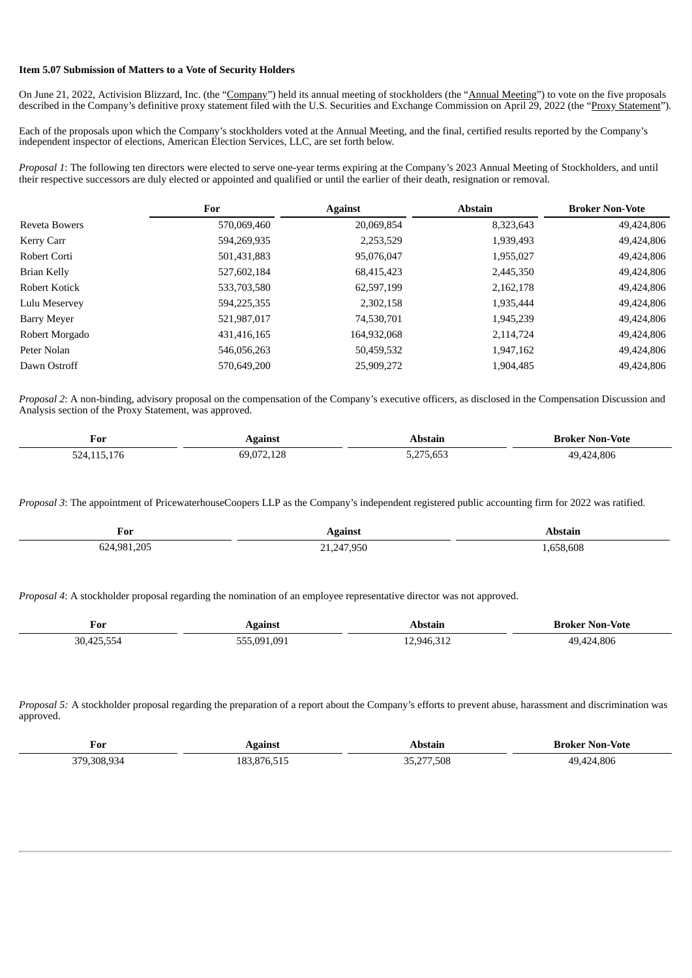#### **Item 5.07 Submission of Matters to a Vote of Security Holders**

On June 21, 2022, Activision Blizzard, Inc. (the "Company") held its annual meeting of stockholders (the "Annual Meeting") to vote on the five proposals described in the Company's definitive proxy statement filed with the U.S. Securities and Exchange Commission on April 29, 2022 (the "Proxy Statement").

Each of the proposals upon which the Company's stockholders voted at the Annual Meeting, and the final, certified results reported by the Company's independent inspector of elections, American Election Services, LLC, are set forth below.

*Proposal 1*: The following ten directors were elected to serve one-year terms expiring at the Company's 2023 Annual Meeting of Stockholders, and until their respective successors are duly elected or appointed and qualified or until the earlier of their death, resignation or removal.

|                | For         | <b>Against</b> | <b>Abstain</b> | <b>Broker Non-Vote</b> |
|----------------|-------------|----------------|----------------|------------------------|
| Reveta Bowers  | 570,069,460 | 20,069,854     | 8,323,643      | 49,424,806             |
| Kerry Carr     | 594,269,935 | 2,253,529      | 1,939,493      | 49,424,806             |
| Robert Corti   | 501,431,883 | 95,076,047     | 1,955,027      | 49,424,806             |
| Brian Kelly    | 527,602,184 | 68,415,423     | 2,445,350      | 49,424,806             |
| Robert Kotick  | 533,703,580 | 62,597,199     | 2,162,178      | 49,424,806             |
| Lulu Meservey  | 594,225,355 | 2,302,158      | 1,935,444      | 49,424,806             |
| Barry Meyer    | 521,987,017 | 74,530,701     | 1,945,239      | 49,424,806             |
| Robert Morgado | 431,416,165 | 164,932,068    | 2,114,724      | 49,424,806             |
| Peter Nolan    | 546,056,263 | 50,459,532     | 1,947,162      | 49,424,806             |
| Dawn Ostroff   | 570,649,200 | 25,909,272     | 1,904,485      | 49.424.806             |

*Proposal 2*: A non-binding, advisory proposal on the compensation of the Company's executive officers, as disclosed in the Compensation Discussion and Analysis section of the Proxy Statement, was approved.

| For                               | eainst   | -bstain                                                         | Broker Non-Vote        |
|-----------------------------------|----------|-----------------------------------------------------------------|------------------------|
| $\sim$ $\sim$                     |          | .                                                               | _____                  |
| $\sim$ $ \sim$<br>524<br>ےت<br>__ | .072.128 | $\sim$ $\sim$ $\sim$<br>$\sim$ $\sim$ $\sim$<br>75,653<br>ے . ب | 424,806<br>40<br>- - - |

*Proposal 3*: The appointment of PricewaterhouseCoopers LLP as the Company's independent registered public accounting firm for 2022 was ratified.

| For<br>____                        | ≃ainsr<br>$ -$<br>- 0           | .        |
|------------------------------------|---------------------------------|----------|
| ⊐∩ר<br>-981<br>υz<br>$-$<br>$\sim$ | $\sim$ $\sim$ $\sim$<br>u-<br>. | .658.608 |

*Proposal 4*: A stockholder proposal regarding the nomination of an employee representative director was not approved.

| $\overline{\phantom{a}}$<br>For | \gainst        | hstain –         | -Vote<br>Broker<br>Non- |
|---------------------------------|----------------|------------------|-------------------------|
| . ٩٥<br>---<br>$\sqrt{2}$       | ---<br>091 091 | $\sim$<br>$-946$ | '4.806<br>$\sqrt{2}$    |

*Proposal 5:* A stockholder proposal regarding the preparation of a report about the Company's efforts to prevent abuse, harassment and discrimination was approved.

| For<br>____  |                 |            | -Vote<br>וח |
|--------------|-----------------|------------|-------------|
| . הרב<br>308 | 10 <sup>7</sup> | .508<br>ית | 80f         |